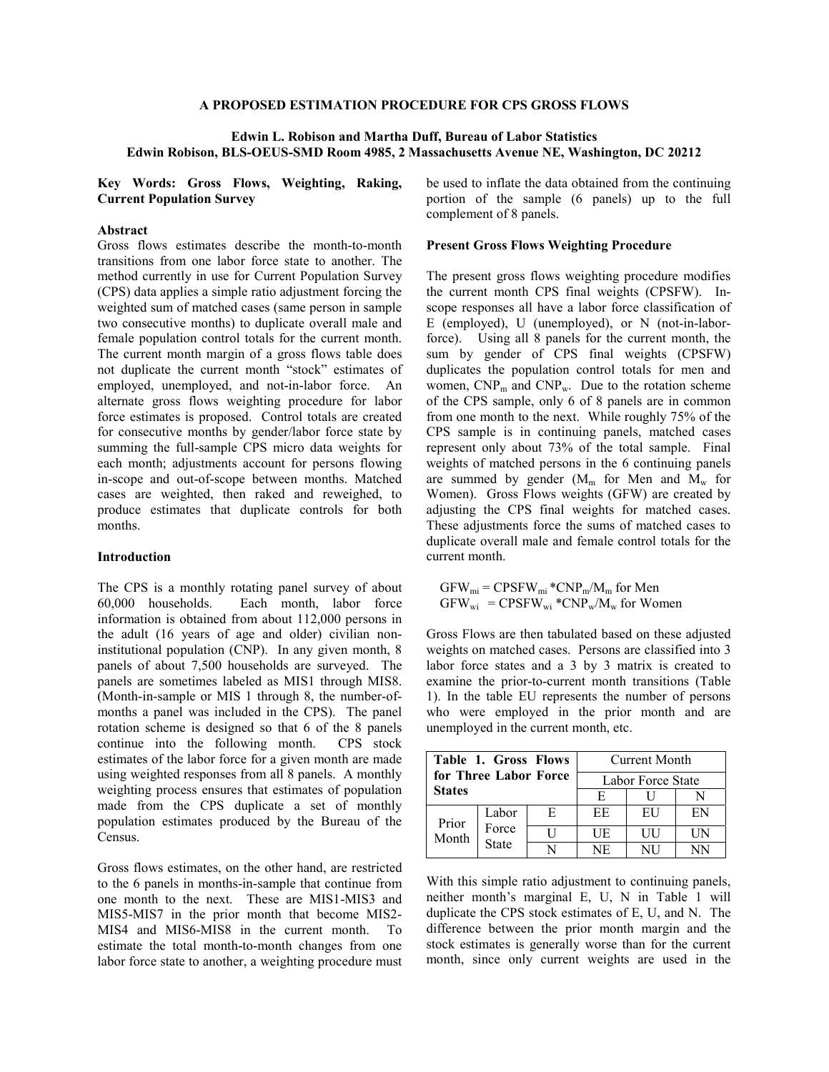### **A PROPOSED ESTIMATION PROCEDURE FOR CPS GROSS FLOWS**

## **Edwin L. Robison and Martha Duff, Bureau of Labor Statistics Edwin Robison, BLS-OEUS-SMD Room 4985, 2 Massachusetts Avenue NE, Washington, DC 20212**

**Key Words: Gross Flows, Weighting, Raking, Current Population Survey** 

# **Abstract**

Gross flows estimates describe the month-to-month transitions from one labor force state to another. The method currently in use for Current Population Survey (CPS) data applies a simple ratio adjustment forcing the weighted sum of matched cases (same person in sample two consecutive months) to duplicate overall male and female population control totals for the current month. The current month margin of a gross flows table does not duplicate the current month "stock" estimates of employed, unemployed, and not-in-labor force. An alternate gross flows weighting procedure for labor force estimates is proposed. Control totals are created for consecutive months by gender/labor force state by summing the full-sample CPS micro data weights for each month; adjustments account for persons flowing in-scope and out-of-scope between months. Matched cases are weighted, then raked and reweighed, to produce estimates that duplicate controls for both months.

#### **Introduction**

The CPS is a monthly rotating panel survey of about 60,000 households. Each month, labor force information is obtained from about 112,000 persons in the adult (16 years of age and older) civilian noninstitutional population (CNP). In any given month, 8 panels of about 7,500 households are surveyed. The panels are sometimes labeled as MIS1 through MIS8. (Month-in-sample or MIS 1 through 8, the number-ofmonths a panel was included in the CPS). The panel rotation scheme is designed so that 6 of the 8 panels continue into the following month. CPS stock estimates of the labor force for a given month are made using weighted responses from all 8 panels. A monthly weighting process ensures that estimates of population made from the CPS duplicate a set of monthly population estimates produced by the Bureau of the Census.

Gross flows estimates, on the other hand, are restricted to the 6 panels in months-in-sample that continue from one month to the next. These are MIS1-MIS3 and MIS5-MIS7 in the prior month that become MIS2- MIS4 and MIS6-MIS8 in the current month. To estimate the total month-to-month changes from one labor force state to another, a weighting procedure must

be used to inflate the data obtained from the continuing portion of the sample (6 panels) up to the full complement of 8 panels.

## **Present Gross Flows Weighting Procedure**

The present gross flows weighting procedure modifies the current month CPS final weights (CPSFW). Inscope responses all have a labor force classification of E (employed), U (unemployed), or N (not-in-laborforce). Using all 8 panels for the current month, the sum by gender of CPS final weights (CPSFW) duplicates the population control totals for men and women,  $CNP_m$  and  $CNP_w$ . Due to the rotation scheme of the CPS sample, only 6 of 8 panels are in common from one month to the next. While roughly 75% of the CPS sample is in continuing panels, matched cases represent only about 73% of the total sample. Final weights of matched persons in the 6 continuing panels are summed by gender  $(M_m$  for Men and  $M_w$  for Women). Gross Flows weights (GFW) are created by adjusting the CPS final weights for matched cases. These adjustments force the sums of matched cases to duplicate overall male and female control totals for the current month.

 $GFW_{mi} = CPSFW_{mi} * CNP_m/M_m$  for Men  $GFW_{wi} = CPSFW_{wi} * CNP_w/M_w$  for Women

Gross Flows are then tabulated based on these adjusted weights on matched cases. Persons are classified into 3 labor force states and a 3 by 3 matrix is created to examine the prior-to-current month transitions (Table 1). In the table EU represents the number of persons who were employed in the prior month and are unemployed in the current month, etc.

|                                        | Table 1. Gross Flows    |    | Current Month     |    |    |  |  |
|----------------------------------------|-------------------------|----|-------------------|----|----|--|--|
| for Three Labor Force<br><b>States</b> |                         |    | Labor Force State |    |    |  |  |
|                                        |                         |    | E                 |    |    |  |  |
| Prior<br>Month                         | Labor<br>Force<br>State | E. | EE                | EH | ΕN |  |  |
|                                        |                         |    | UE                | UН | UN |  |  |
|                                        |                         |    | NE                | NH |    |  |  |

With this simple ratio adjustment to continuing panels, neither month's marginal E, U, N in Table 1 will duplicate the CPS stock estimates of E, U, and N. The difference between the prior month margin and the stock estimates is generally worse than for the current month, since only current weights are used in the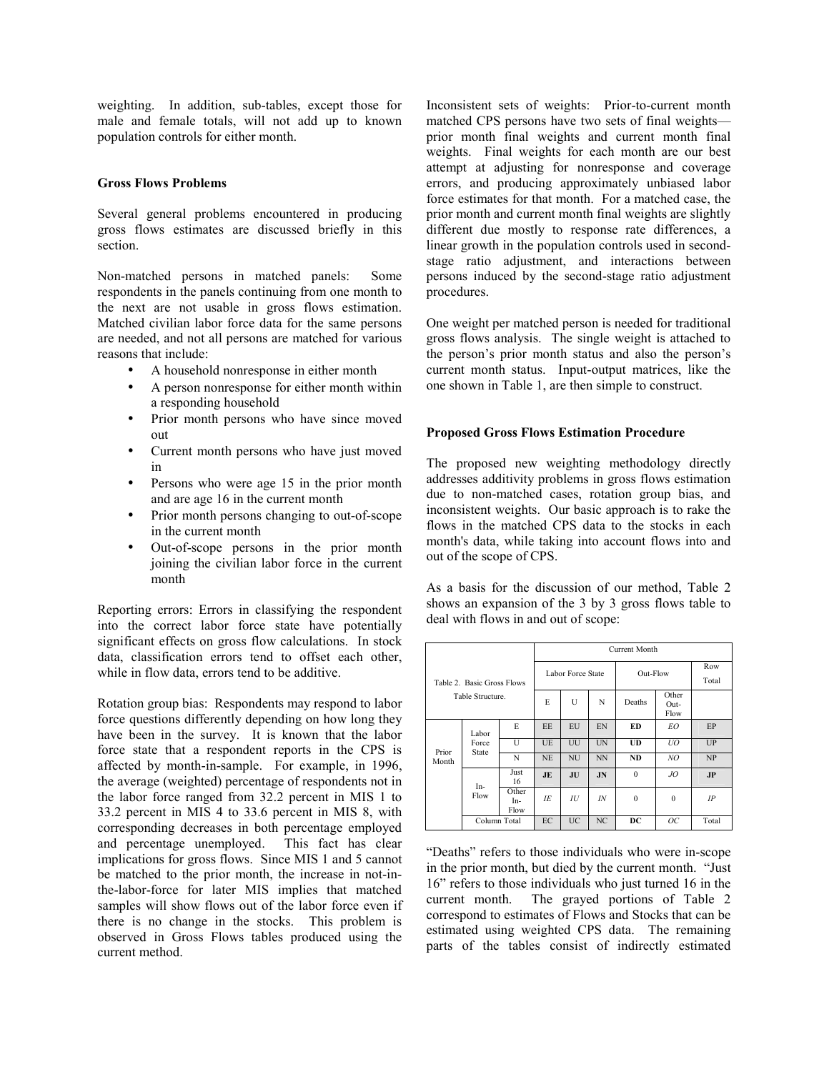weighting. In addition, sub-tables, except those for male and female totals, will not add up to known population controls for either month.

## **Gross Flows Problems**

Several general problems encountered in producing gross flows estimates are discussed briefly in this section.

Non-matched persons in matched panels: Some respondents in the panels continuing from one month to the next are not usable in gross flows estimation. Matched civilian labor force data for the same persons are needed, and not all persons are matched for various reasons that include:

- A household nonresponse in either month
- A person nonresponse for either month within a responding household
- Prior month persons who have since moved out
- Current month persons who have just moved in
- Persons who were age 15 in the prior month and are age 16 in the current month
- Prior month persons changing to out-of-scope in the current month
- Out-of-scope persons in the prior month joining the civilian labor force in the current month

Reporting errors: Errors in classifying the respondent into the correct labor force state have potentially significant effects on gross flow calculations. In stock data, classification errors tend to offset each other, while in flow data, errors tend to be additive.

Rotation group bias: Respondents may respond to labor force questions differently depending on how long they have been in the survey. It is known that the labor force state that a respondent reports in the CPS is affected by month-in-sample. For example, in 1996, the average (weighted) percentage of respondents not in the labor force ranged from 32.2 percent in MIS 1 to 33.2 percent in MIS 4 to 33.6 percent in MIS 8, with corresponding decreases in both percentage employed and percentage unemployed. This fact has clear implications for gross flows. Since MIS 1 and 5 cannot be matched to the prior month, the increase in not-inthe-labor-force for later MIS implies that matched samples will show flows out of the labor force even if there is no change in the stocks. This problem is observed in Gross Flows tables produced using the current method.

Inconsistent sets of weights: Prior-to-current month matched CPS persons have two sets of final weights prior month final weights and current month final weights. Final weights for each month are our best attempt at adjusting for nonresponse and coverage errors, and producing approximately unbiased labor force estimates for that month. For a matched case, the prior month and current month final weights are slightly different due mostly to response rate differences, a linear growth in the population controls used in secondstage ratio adjustment, and interactions between persons induced by the second-stage ratio adjustment procedures.

One weight per matched person is needed for traditional gross flows analysis. The single weight is attached to the person's prior month status and also the person's current month status. Input-output matrices, like the one shown in Table 1, are then simple to construct.

## **Proposed Gross Flows Estimation Procedure**

The proposed new weighting methodology directly addresses additivity problems in gross flows estimation due to non-matched cases, rotation group bias, and inconsistent weights. Our basic approach is to rake the flows in the matched CPS data to the stocks in each month's data, while taking into account flows into and out of the scope of CPS.

As a basis for the discussion of our method, Table 2 shows an expansion of the 3 by 3 gross flows table to deal with flows in and out of scope:

|                            |                         | Current Month        |                   |           |                |                       |              |              |
|----------------------------|-------------------------|----------------------|-------------------|-----------|----------------|-----------------------|--------------|--------------|
| Table 2. Basic Gross Flows |                         |                      | Labor Force State |           |                | Out-Flow              |              | Row<br>Total |
| Table Structure.           |                         | E                    | U                 | N         | Deaths         | Other<br>Out-<br>Flow |              |              |
| Prior<br>Month             | Labor<br>Force<br>State | E                    | EE                | EU        | EN             | ED                    | EO           | EP           |
|                            |                         | $\mathbf{U}$         | UE                | UU        | UN             | UD                    | UO           | UP           |
|                            |                         | N                    | <b>NE</b>         | <b>NU</b> | <b>NN</b>      | <b>ND</b>             | NO           | NP           |
|                            | In-<br>Flow             | Just<br>16           | JE                | JU        | J <sub>N</sub> | $\Omega$              | JQ           | <b>JP</b>    |
|                            |                         | Other<br>In-<br>Flow | IE                | IU        | IN             | $\Omega$              | $\mathbf{0}$ | IP           |
|                            | Column Total            |                      | EC                | <b>UC</b> | NC             | DC                    | OС           | Total        |

"Deaths" refers to those individuals who were in-scope in the prior month, but died by the current month. "Just 16" refers to those individuals who just turned 16 in the current month. The grayed portions of Table 2 correspond to estimates of Flows and Stocks that can be estimated using weighted CPS data. The remaining parts of the tables consist of indirectly estimated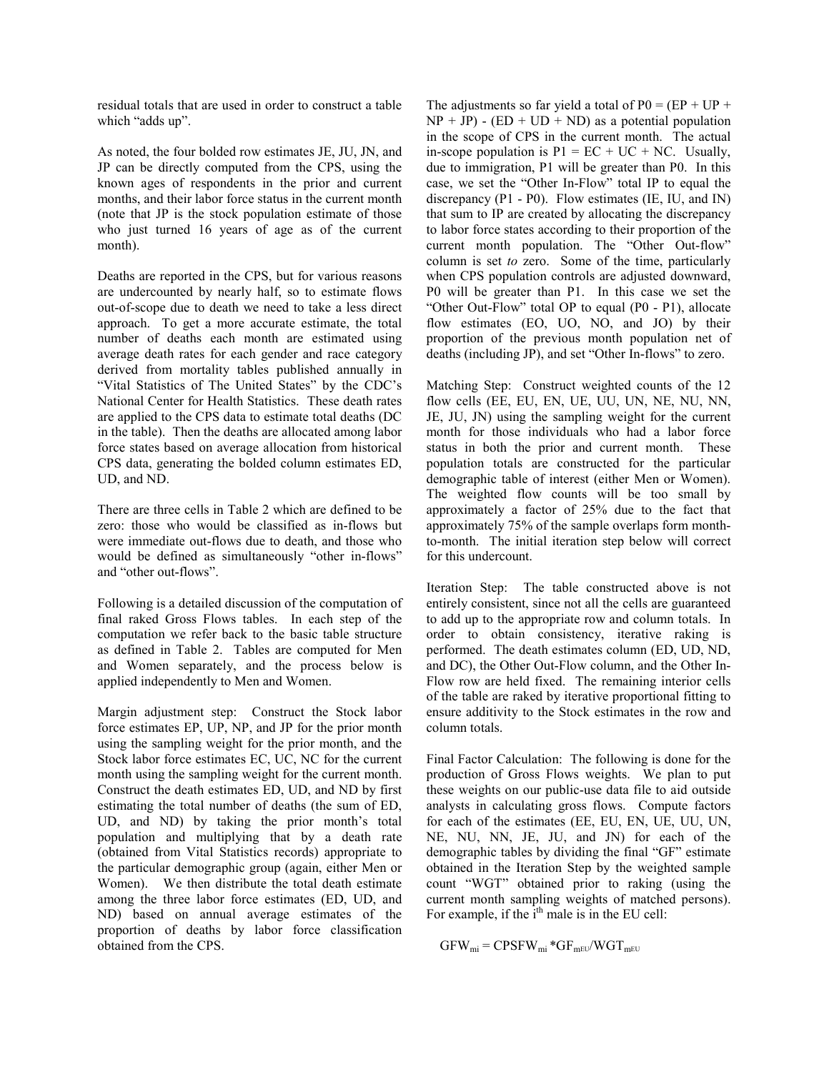residual totals that are used in order to construct a table which "adds up".

As noted, the four bolded row estimates JE, JU, JN, and JP can be directly computed from the CPS, using the known ages of respondents in the prior and current months, and their labor force status in the current month (note that JP is the stock population estimate of those who just turned 16 years of age as of the current month).

Deaths are reported in the CPS, but for various reasons are undercounted by nearly half, so to estimate flows out-of-scope due to death we need to take a less direct approach. To get a more accurate estimate, the total number of deaths each month are estimated using average death rates for each gender and race category derived from mortality tables published annually in "Vital Statistics of The United States" by the CDC's National Center for Health Statistics. These death rates are applied to the CPS data to estimate total deaths (DC in the table). Then the deaths are allocated among labor force states based on average allocation from historical CPS data, generating the bolded column estimates ED, UD, and ND.

There are three cells in Table 2 which are defined to be zero: those who would be classified as in-flows but were immediate out-flows due to death, and those who would be defined as simultaneously "other in-flows" and "other out-flows".

Following is a detailed discussion of the computation of final raked Gross Flows tables. In each step of the computation we refer back to the basic table structure as defined in Table 2. Tables are computed for Men and Women separately, and the process below is applied independently to Men and Women.

Margin adjustment step: Construct the Stock labor force estimates EP, UP, NP, and JP for the prior month using the sampling weight for the prior month, and the Stock labor force estimates EC, UC, NC for the current month using the sampling weight for the current month. Construct the death estimates ED, UD, and ND by first estimating the total number of deaths (the sum of ED, UD, and ND) by taking the prior month's total population and multiplying that by a death rate (obtained from Vital Statistics records) appropriate to the particular demographic group (again, either Men or Women). We then distribute the total death estimate among the three labor force estimates (ED, UD, and ND) based on annual average estimates of the proportion of deaths by labor force classification obtained from the CPS.

The adjustments so far yield a total of  $P0 = (EP + UP +$  $NP + JP$ ) - ( $ED + UD + ND$ ) as a potential population in the scope of CPS in the current month. The actual in-scope population is  $P1 = EC + UC + NC$ . Usually, due to immigration, P1 will be greater than P0. In this case, we set the "Other In-Flow" total IP to equal the discrepancy (P1 - P0). Flow estimates (IE, IU, and IN) that sum to IP are created by allocating the discrepancy to labor force states according to their proportion of the current month population. The "Other Out-flow" column is set *to* zero. Some of the time, particularly when CPS population controls are adjusted downward, P0 will be greater than P1. In this case we set the "Other Out-Flow" total OP to equal (P0 - P1), allocate flow estimates (EO, UO, NO, and JO) by their proportion of the previous month population net of deaths (including JP), and set "Other In-flows" to zero.

Matching Step:Construct weighted counts of the 12 flow cells (EE, EU, EN, UE, UU, UN, NE, NU, NN, JE, JU, JN) using the sampling weight for the current month for those individuals who had a labor force status in both the prior and current month. These population totals are constructed for the particular demographic table of interest (either Men or Women). The weighted flow counts will be too small by approximately a factor of 25% due to the fact that approximately 75% of the sample overlaps form monthto-month. The initial iteration step below will correct for this undercount.

Iteration Step: The table constructed above is not entirely consistent, since not all the cells are guaranteed to add up to the appropriate row and column totals. In order to obtain consistency, iterative raking is performed. The death estimates column (ED, UD, ND, and DC), the Other Out-Flow column, and the Other In-Flow row are held fixed. The remaining interior cells of the table are raked by iterative proportional fitting to ensure additivity to the Stock estimates in the row and column totals.

Final Factor Calculation:The following is done for the production of Gross Flows weights. We plan to put these weights on our public-use data file to aid outside analysts in calculating gross flows. Compute factors for each of the estimates (EE, EU, EN, UE, UU, UN, NE, NU, NN, JE, JU, and JN) for each of the demographic tables by dividing the final "GF" estimate obtained in the Iteration Step by the weighted sample count "WGT" obtained prior to raking (using the current month sampling weights of matched persons). For example, if the  $i<sup>th</sup>$  male is in the EU cell:

$$
GFW_{mi} = CPSFW_{mi} * GF_{mEU}/WGT_{mEU}
$$